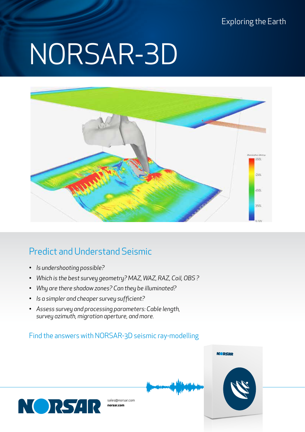Exploring the Earth

# NORSAR-3D



## Predict and Understand Seismic

- *• Is undershooting possible?*
- *• Which is the best survey geometry? MAZ, WAZ, RAZ, Coil, OBS ?*
- *• Why are there shadow zones? Can they be illuminated?*
- *• Is a simpler and cheaper survey sufficient?*
- *• Assess survey and processing parameters: Cable length, survey azimuth, migration aperture, and more.*

#### Find the answers with NORSAR-3D seismic ray-modelling

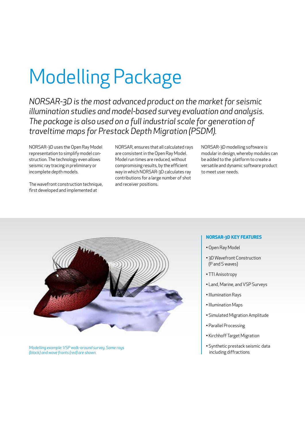## Modelling Package

*NORSAR-3D is the most advanced product on the market for seismic illumination studies and model-based survey evaluation and analysis. The package is also used on a full industrial scale for generation of traveltime maps for Prestack Depth Migration (PSDM).*

NORSAR-3D uses the Open Ray Model representation to simplify model construction. The technology even allows seismic ray tracing in preliminary or incomplete depth models.

The wavefront construction technique, first developed and implemented at

NORSAR, ensures that all calculated rays are consistent in the Open Ray Model. Model run times are reduced, without compromising results, by the efficient way in which NORSAR-3D calculates ray contributions for a large number of shot and receiver positions.

NORSAR-3D modelling software is modular in design, whereby modules can be added to the platform to create a versatile and dynamic software product to meet user needs.



*Modelling example: VSP walk-around survey. Some rays (black) and wave fronts (red) are shown.*

#### **NORSAR-3D KEY FEATURES**

- •Open Ray Model
- 3D Wavefront Construction (P and S waves)
- TTI Anisotropy
- Land, Marine, and VSP Surveys
- •Illumination Rays
- •Illumination Maps
- Simulated Migration Amplitude
- Parallel Processing
- Kirchhoff Target Migration
- Synthetic prestack seismic data including diffractions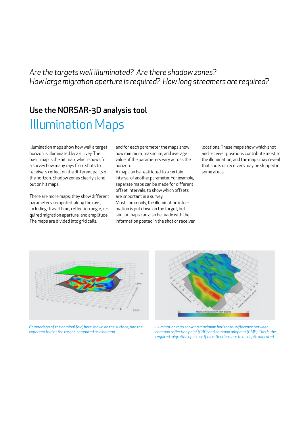*Are the targets well illuminated? Are there shadow zones? How large migration aperture is required? How long streamers are required?*

## Use the NORSAR-3D analysis tool Illumination Maps

Illumination maps show how well a target horizon is illuminated by a survey. The basic map is the hit map, which shows for a survey how many rays from shots to receivers reflect on the different parts of the horizon. Shadow zones clearly stand out on hit maps.

There are more maps; they show different parameters computed along the rays, including: Travel time, reflection angle, required migration aperture, and amplitude. The maps are divided into grid cells,

and for each parameter the maps show how minimum, maximum, and average value of the parameters vary across the horizon.

A map can be restricted to a certain interval of another parameter. For example, separate maps can be made for different offset intervals, to show which offsets are important in a survey.

Most commonly, the illumination information is put down on the target, but similar maps can also be made with the information posted in the shot or receiver

locations. These maps show which shot and receiver positions contribute most to the illumination, and the maps may reveal that shots or receivers may be skipped in some areas.



*Comparison of the nominal fold, here shown on the surface, and the expected fold at the target, computed as a hit map.*



*Illumination map showing maximum horizontal difference between common reflection point (CRP) and common midpoint (CMP). This is the required migration aperture if all reflections are to be depth migrated.*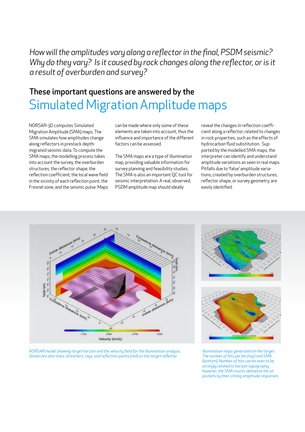*How will the amplitudes vary along a reflector in the final, PSDM seismic?*  Why do they vary? Is it caused by rock changes along the reflector, or is it *a result of overburden and survey?*

## Simulated Migration Amplitude maps These important questions are answered by the

NORSAR-3D computes Simulated Migration Amplitude (SMA) maps. The SMA simulates how amplitudes change along reflectors in prestack depthmigrated seismic data. To compute the SMA maps, the modelling process takes into account the survey, the overburden structures, the reflector shape, the reflection coefficient, the local wave field in the vicinity of each reflection point, the Fresnel zone, and the seismic pulse. Maps can be made where only some of these elements are taken into account, thus the influence and importance of the different factors can be assessed.

The SMA maps are a type of illumination map, providing valuable information for survey planning and feasibility studies. The SMA is also an important QC tool for seismic interpretation: A real, observed, PSDM amplitude map should ideally

reveal the changes in reflection coefficient along a reflector, related to changes in rock properties, such as the effects of hydrocarbon fluid substitution. Supported by the modelled SMA maps, the interpreter can identify and understand amplitude variations as seen in real maps. Pitfalls due to 'false' amplitude variations, created by overburden structures, reflector shape, or survey geometry, are easily identified.



*NORSAR model showing target horizon and the velocity field for the illumination analysis. Shown are shot lines, streamers, rays, and reflection points (red) on the target reflector.*





*Illumination maps generated on the target. The number of hits per bin (top) and SMA (bottom). Number of hits can be seen to be strongly related to horizon topography; however, the SMA results delineate the oil pockets by their strong amplitude responses.*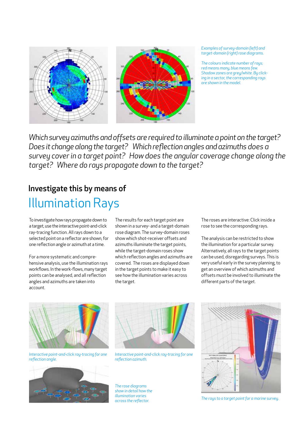

#### *Examples of survey-domain (left) and target-domain (right) rose diagrams.*

*The colours indicate number of rays; red means many, blue means few. Shadow zones are grey/white. By clicking in a sector, the corresponding rays are shown in the model.*

*Which survey azimuths and offsets are required to illuminate a point on the target? Does it change along the target? Which reflection angles and azimuths does a survey cover in a target point? How does the angular coverage change along the target? Where do rays propagate down to the target?*

## Investigate this by means of

## Illumination Rays

To investigate how rays propagate down to a target, use the interactive point-and-click ray-tracing function. All rays down to a selected point on a reflector are shown, for one reflection angle or azimuth at a time.

For a more systematic and comprehensive analysis, use the illumination rays workflows. In the work-flows, many target points can be analysed, and all reflection angles and azimuths are taken into account.

The results for each target point are shown in a survey- and a target-domain rose diagram. The survey-domain roses show which shot-receiver offsets and azimuths illuminate the target points, while the target-domain roses show which reflection angles and azimuths are covered. The roses are displayed down in the target points to make it easy to see how the illumination varies across the target.

The roses are interactive: Click inside a rose to see the corresponding rays.

The analysis can be restricted to show the illumination for a particular survey. Alternatively, all rays to the target points can be used, disregarding surveys. This is very useful early in the survey planning, to get an overview of which azimuths and offsets must be involved to illuminate the different parts of the target.



*Interactive point-and-click ray-tracing for one reflection angle.*





*Interactive point-and-click ray-tracing for one reflection azimuth.*

*The rose diagrams show in detail how the illumination varies across the reflector.*



*The rays to a target point for a marine survey.*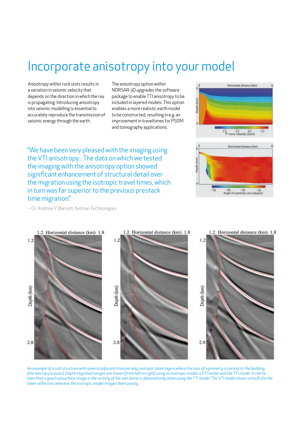## Incorporate anisotropy into your model

Anisotropy within rock units results in a variation in seismic velocity that depends on the direction in which the ray is propagating. Introducing anisotropy into seismic modelling is essential to accurately reproduce the transmission of seismic energy through the earth.

The anisotropy option within NORSAR-3D upgrades the software package to enable TTI anisotropy to be included in layered models. This option enables a more realistic earth model to be constructed, resulting in e.g. an improvement in traveltimes for PSDM and tomography applications.



"We have been very pleased with the imaging using the VTI anisotropy... The data on which we tested the imaging with the anisotropy option showed significant enhancement of structural detail over the migration using the isotropic travel times, which in turn was far superior to the previous prestack time migration."

-- Dr. Andrew V. Barrett, Kelman Technologies



*An example of a salt structure with several adjacent transversely isotropic shale layers where the axis of symmetry is normal to the bedding (the two top pictures). Depth migrated images are shown (from left to right) using an isotropic model, a VTI model and the TTI model. It can be*  seen that a good subsurface image in the vicinity of the salt dome is obtained only when using the TTI model. The VTI model shows a misfit for the *lower reflectors whereas the isotropic model images them poorly.*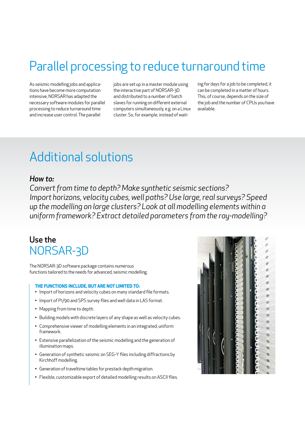## Parallel processing to reduce turnaround time

As seismic modelling jobs and applications have become more computation intensive, NORSAR has adapted the necessary software modules for parallel processing to reduce turnaround time and increase user control. The parallel

jobs are set up in a master module using the interactive part of NORSAR-3D and distributed to a number of batch slaves for running on different external computers simultaneously, e.g. on a Linux cluster. So, for example, instead of waiting for days for a job to be completed, it can be completed in a matter of hours. This, of course, depends on the size of the job and the number of CPUs you have available.

## Additional solutions

#### *How to:*

*Convert from time to depth? Make synthetic seismic sections? Import horizons, velocity cubes, well paths? Use large, real surveys? Speed up the modelling on large clusters? Look at all modelling elements within a uniform framework? Extract detailed parameters from the ray-modelling?*

### Use the NORSAR-3D

The NORSAR-3D software package contains numerous functions tailored to the needs for advanced, seismic modelling.

#### **THE FUNCTIONS INCLUDE, BUT ARE NOT LIMITED TO:**

- Import of horizons and velocity cubes on many standard file formats.
- Import of P1/90 and SPS survey files and well data in LAS format.
- Mapping from time to depth.
- Building models with discrete layers of any shape as well as velocity cubes.
- Comprehensive viewer of modelling elements in an integrated, uniform framework.
- Extensive parallelization of the seismic modelling and the generation of illumination maps.
- Generation of synthetic seismic on SEG-Y files including diffractions by Kirchhoff modelling.
- Generation of traveltime tables for prestack depth migration.
- Flexible, customizable export of detailed modelling results on ASCII files.